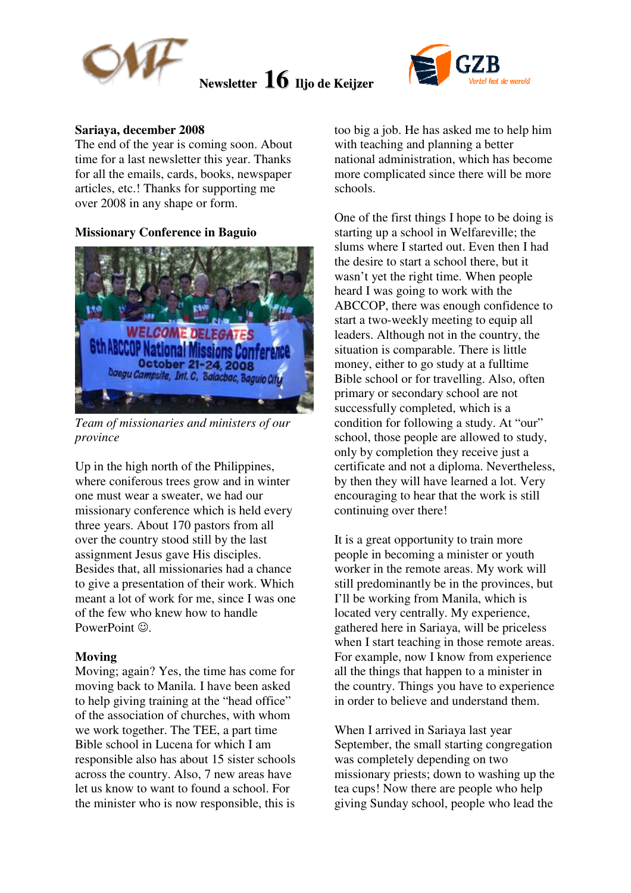



### **Sariaya, december 2008**

The end of the year is coming soon. About time for a last newsletter this year. Thanks for all the emails, cards, books, newspaper articles, etc.! Thanks for supporting me over 2008 in any shape or form.

### **Missionary Conference in Baguio**



*Team of missionaries and ministers of our province* 

Up in the high north of the Philippines, where coniferous trees grow and in winter one must wear a sweater, we had our missionary conference which is held every three years. About 170 pastors from all over the country stood still by the last assignment Jesus gave His disciples. Besides that, all missionaries had a chance to give a presentation of their work. Which meant a lot of work for me, since I was one of the few who knew how to handle PowerPoint  $\odot$ .

#### **Moving**

Moving; again? Yes, the time has come for moving back to Manila. I have been asked to help giving training at the "head office" of the association of churches, with whom we work together. The TEE, a part time Bible school in Lucena for which I am responsible also has about 15 sister schools across the country. Also, 7 new areas have let us know to want to found a school. For the minister who is now responsible, this is

too big a job. He has asked me to help him with teaching and planning a better national administration, which has become more complicated since there will be more schools.

One of the first things I hope to be doing is starting up a school in Welfareville; the slums where I started out. Even then I had the desire to start a school there, but it wasn't yet the right time. When people heard I was going to work with the ABCCOP, there was enough confidence to start a two-weekly meeting to equip all leaders. Although not in the country, the situation is comparable. There is little money, either to go study at a fulltime Bible school or for travelling. Also, often primary or secondary school are not successfully completed, which is a condition for following a study. At "our" school, those people are allowed to study, only by completion they receive just a certificate and not a diploma. Nevertheless, by then they will have learned a lot. Very encouraging to hear that the work is still continuing over there!

It is a great opportunity to train more people in becoming a minister or youth worker in the remote areas. My work will still predominantly be in the provinces, but I'll be working from Manila, which is located very centrally. My experience, gathered here in Sariaya, will be priceless when I start teaching in those remote areas. For example, now I know from experience all the things that happen to a minister in the country. Things you have to experience in order to believe and understand them.

When I arrived in Sariaya last year September, the small starting congregation was completely depending on two missionary priests; down to washing up the tea cups! Now there are people who help giving Sunday school, people who lead the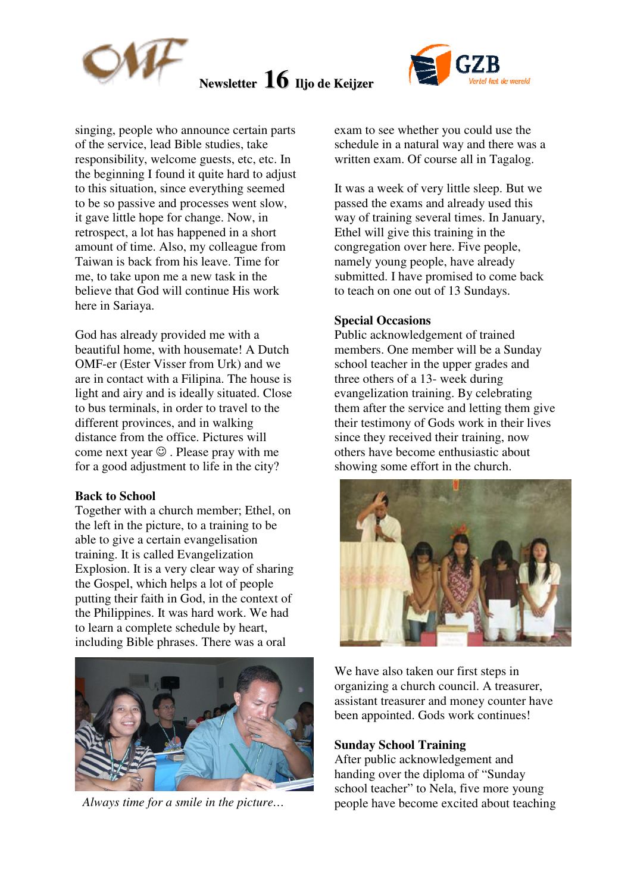



singing, people who announce certain parts of the service, lead Bible studies, take responsibility, welcome guests, etc, etc. In the beginning I found it quite hard to adjust to this situation, since everything seemed to be so passive and processes went slow, it gave little hope for change. Now, in retrospect, a lot has happened in a short amount of time. Also, my colleague from Taiwan is back from his leave. Time for me, to take upon me a new task in the believe that God will continue His work here in Sariaya.

God has already provided me with a beautiful home, with housemate! A Dutch OMF-er (Ester Visser from Urk) and we are in contact with a Filipina. The house is light and airy and is ideally situated. Close to bus terminals, in order to travel to the different provinces, and in walking distance from the office. Pictures will come next year  $\odot$  . Please pray with me for a good adjustment to life in the city?

#### **Back to School**

Together with a church member; Ethel, on the left in the picture, to a training to be able to give a certain evangelisation training. It is called Evangelization Explosion. It is a very clear way of sharing the Gospel, which helps a lot of people putting their faith in God, in the context of the Philippines. It was hard work. We had to learn a complete schedule by heart, including Bible phrases. There was a oral



exam to see whether you could use the schedule in a natural way and there was a written exam. Of course all in Tagalog.

It was a week of very little sleep. But we passed the exams and already used this way of training several times. In January, Ethel will give this training in the congregation over here. Five people, namely young people, have already submitted. I have promised to come back to teach on one out of 13 Sundays.

#### **Special Occasions**

Public acknowledgement of trained members. One member will be a Sunday school teacher in the upper grades and three others of a 13- week during evangelization training. By celebrating them after the service and letting them give their testimony of Gods work in their lives since they received their training, now others have become enthusiastic about showing some effort in the church.



We have also taken our first steps in organizing a church council. A treasurer, assistant treasurer and money counter have been appointed. Gods work continues!

#### **Sunday School Training**

After public acknowledgement and handing over the diploma of "Sunday school teacher" to Nela, five more young *Always time for a smile in the picture...* people have become excited about teaching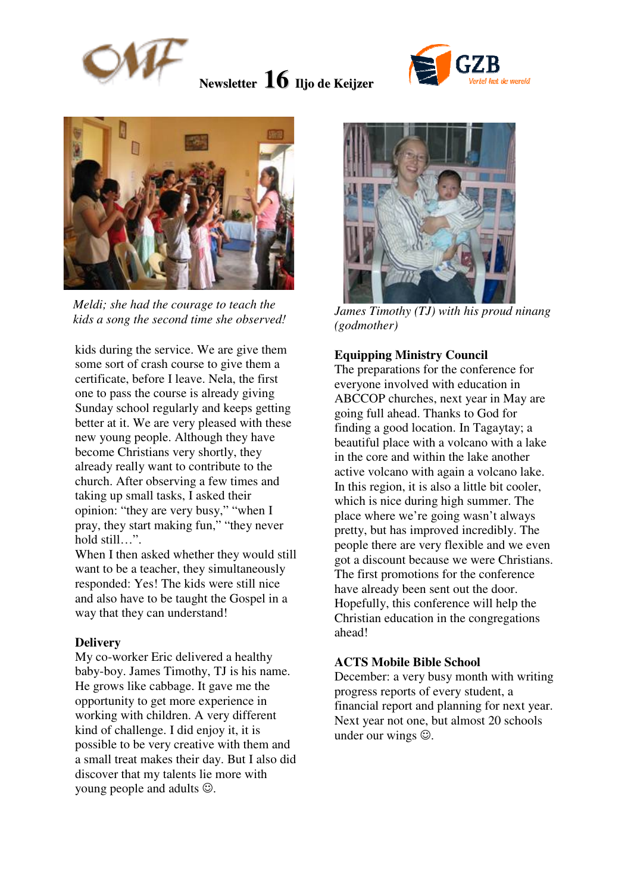





*Meldi; she had the courage to teach the kids a song the second time she observed!*

kids during the service. We are give them some sort of crash course to give them a certificate, before I leave. Nela, the first one to pass the course is already giving Sunday school regularly and keeps getting better at it. We are very pleased with these new young people. Although they have become Christians very shortly, they already really want to contribute to the church. After observing a few times and taking up small tasks, I asked their opinion: "they are very busy," "when I pray, they start making fun," "they never hold still…".

When I then asked whether they would still want to be a teacher, they simultaneously responded: Yes! The kids were still nice and also have to be taught the Gospel in a way that they can understand!

#### **Delivery**

My co-worker Eric delivered a healthy baby-boy. James Timothy, TJ is his name. He grows like cabbage. It gave me the opportunity to get more experience in working with children. A very different kind of challenge. I did enjoy it, it is possible to be very creative with them and a small treat makes their day. But I also did discover that my talents lie more with young people and adults  $\odot$ .



*James Timothy (TJ) with his proud ninang (godmother)* 

## **Equipping Ministry Council**

The preparations for the conference for everyone involved with education in ABCCOP churches, next year in May are going full ahead. Thanks to God for finding a good location. In Tagaytay; a beautiful place with a volcano with a lake in the core and within the lake another active volcano with again a volcano lake. In this region, it is also a little bit cooler, which is nice during high summer. The place where we're going wasn't always pretty, but has improved incredibly. The people there are very flexible and we even got a discount because we were Christians. The first promotions for the conference have already been sent out the door. Hopefully, this conference will help the Christian education in the congregations ahead!

#### **ACTS Mobile Bible School**

December: a very busy month with writing progress reports of every student, a financial report and planning for next year. Next year not one, but almost 20 schools under our wings  $\odot$ .